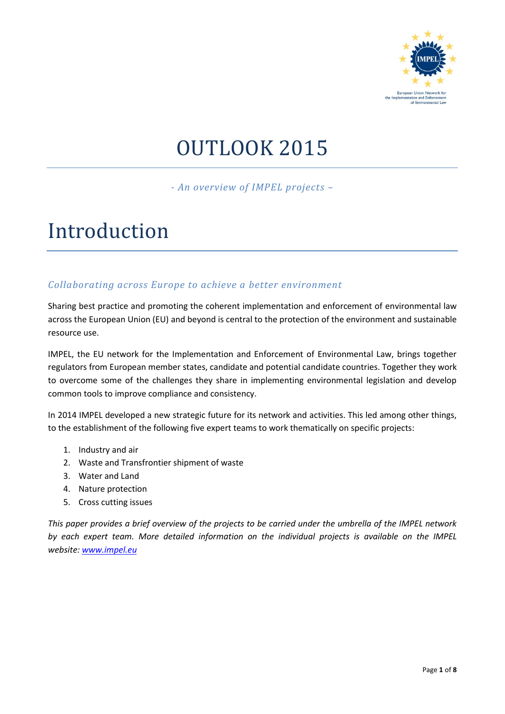

# OUTLOOK 2015

*- An overview of IMPEL projects –*

## Introduction

## *Collaborating across Europe to achieve a better environment*

Sharing best practice and promoting the coherent implementation and enforcement of environmental law across the European Union (EU) and beyond is central to the protection of the environment and sustainable resource use.

IMPEL, the EU network for the Implementation and Enforcement of Environmental Law, brings together regulators from European member states, candidate and potential candidate countries. Together they work to overcome some of the challenges they share in implementing environmental legislation and develop common tools to improve compliance and consistency.

In 2014 IMPEL developed a new strategic future for its network and activities. This led among other things, to the establishment of the following five expert teams to work thematically on specific projects:

- 1. Industry and air
- 2. Waste and Transfrontier shipment of waste
- 3. Water and Land
- 4. Nature protection
- 5. Cross cutting issues

*This paper provides a brief overview of the projects to be carried under the umbrella of the IMPEL network by each expert team. More detailed information on the individual projects is available on the IMPEL website[: www.impel.eu](http://www.impel.eu/)*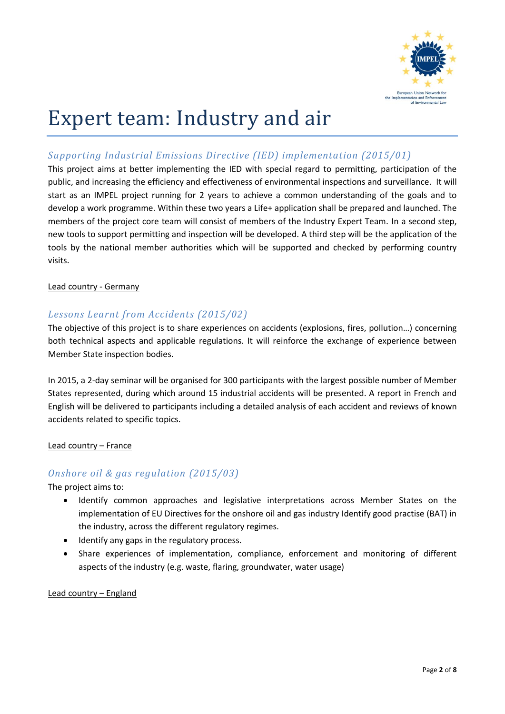

# Expert team: Industry and air

## *Supporting Industrial Emissions Directive (IED) implementation (2015/01)*

This project aims at better implementing the IED with special regard to permitting, participation of the public, and increasing the efficiency and effectiveness of environmental inspections and surveillance. It will start as an IMPEL project running for 2 years to achieve a common understanding of the goals and to develop a work programme. Within these two years a Life+ application shall be prepared and launched. The members of the project core team will consist of members of the Industry Expert Team. In a second step, new tools to support permitting and inspection will be developed. A third step will be the application of the tools by the national member authorities which will be supported and checked by performing country visits.

#### Lead country - Germany

## *Lessons Learnt from Accidents (2015/02)*

The objective of this project is to share experiences on accidents (explosions, fires, pollution…) concerning both technical aspects and applicable regulations. It will reinforce the exchange of experience between Member State inspection bodies.

In 2015, a 2-day seminar will be organised for 300 participants with the largest possible number of Member States represented, during which around 15 industrial accidents will be presented. A report in French and English will be delivered to participants including a detailed analysis of each accident and reviews of known accidents related to specific topics.

Lead country – France

## *Onshore oil & gas regulation (2015/03)*

The project aims to:

- Identify common approaches and legislative interpretations across Member States on the implementation of EU Directives for the onshore oil and gas industry Identify good practise (BAT) in the industry, across the different regulatory regimes.
- Identify any gaps in the regulatory process.
- Share experiences of implementation, compliance, enforcement and monitoring of different aspects of the industry (e.g. waste, flaring, groundwater, water usage)

#### Lead country – England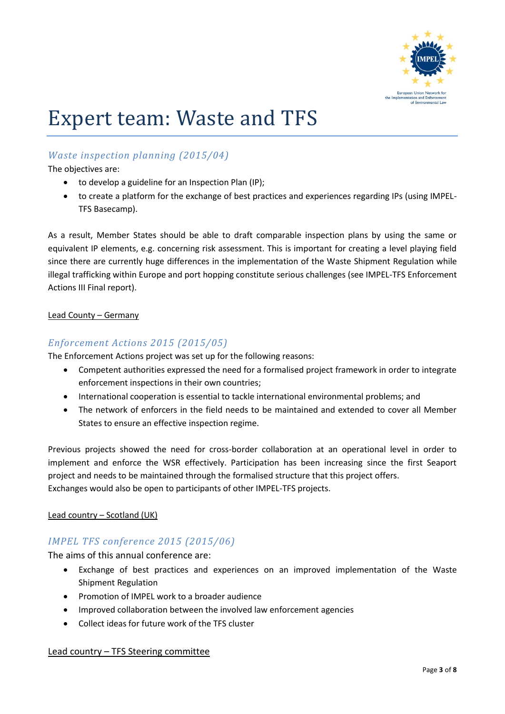

# Expert team: Waste and TFS

## *Waste inspection planning (2015/04)*

The objectives are:

- to develop a guideline for an Inspection Plan (IP);
- to create a platform for the exchange of best practices and experiences regarding IPs (using IMPEL-TFS Basecamp).

As a result, Member States should be able to draft comparable inspection plans by using the same or equivalent IP elements, e.g. concerning risk assessment. This is important for creating a level playing field since there are currently huge differences in the implementation of the Waste Shipment Regulation while illegal trafficking within Europe and port hopping constitute serious challenges (see IMPEL-TFS Enforcement Actions III Final report).

#### Lead County – Germany

## *Enforcement Actions 2015 (2015/05)*

The Enforcement Actions project was set up for the following reasons:

- Competent authorities expressed the need for a formalised project framework in order to integrate enforcement inspections in their own countries;
- International cooperation is essential to tackle international environmental problems; and
- The network of enforcers in the field needs to be maintained and extended to cover all Member States to ensure an effective inspection regime.

Previous projects showed the need for cross-border collaboration at an operational level in order to implement and enforce the WSR effectively. Participation has been increasing since the first Seaport project and needs to be maintained through the formalised structure that this project offers. Exchanges would also be open to participants of other IMPEL-TFS projects.

#### Lead country – Scotland (UK)

## *IMPEL TFS conference 2015 (2015/06)*

The aims of this annual conference are:

- Exchange of best practices and experiences on an improved implementation of the Waste Shipment Regulation
- Promotion of IMPEL work to a broader audience
- Improved collaboration between the involved law enforcement agencies
- Collect ideas for future work of the TFS cluster

#### Lead country – TFS Steering committee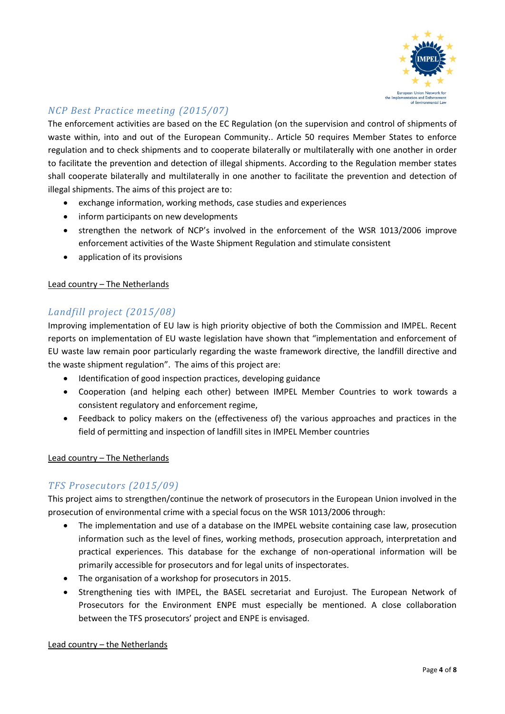

## *NCP Best Practice meeting (2015/07)*

The enforcement activities are based on the EC Regulation (on the supervision and control of shipments of waste within, into and out of the European Community.. Article 50 requires Member States to enforce regulation and to check shipments and to cooperate bilaterally or multilaterally with one another in order to facilitate the prevention and detection of illegal shipments. According to the Regulation member states shall cooperate bilaterally and multilaterally in one another to facilitate the prevention and detection of illegal shipments. The aims of this project are to:

- exchange information, working methods, case studies and experiences
- inform participants on new developments
- strengthen the network of NCP's involved in the enforcement of the WSR 1013/2006 improve enforcement activities of the Waste Shipment Regulation and stimulate consistent
- application of its provisions

#### Lead country – The Netherlands

## *Landfill project (2015/08)*

Improving implementation of EU law is high priority objective of both the Commission and IMPEL. Recent reports on implementation of EU waste legislation have shown that "implementation and enforcement of EU waste law remain poor particularly regarding the waste framework directive, the landfill directive and the waste shipment regulation". The aims of this project are:

- Identification of good inspection practices, developing guidance
- Cooperation (and helping each other) between IMPEL Member Countries to work towards a consistent regulatory and enforcement regime,
- Feedback to policy makers on the (effectiveness of) the various approaches and practices in the field of permitting and inspection of landfill sites in IMPEL Member countries

#### Lead country – The Netherlands

## *TFS Prosecutors (2015/09)*

This project aims to strengthen/continue the network of prosecutors in the European Union involved in the prosecution of environmental crime with a special focus on the WSR 1013/2006 through:

- The implementation and use of a database on the IMPEL website containing case law, prosecution information such as the level of fines, working methods, prosecution approach, interpretation and practical experiences. This database for the exchange of non-operational information will be primarily accessible for prosecutors and for legal units of inspectorates.
- The organisation of a workshop for prosecutors in 2015.
- Strengthening ties with IMPEL, the BASEL secretariat and Eurojust. The European Network of Prosecutors for the Environment ENPE must especially be mentioned. A close collaboration between the TFS prosecutors' project and ENPE is envisaged.

#### Lead country – the Netherlands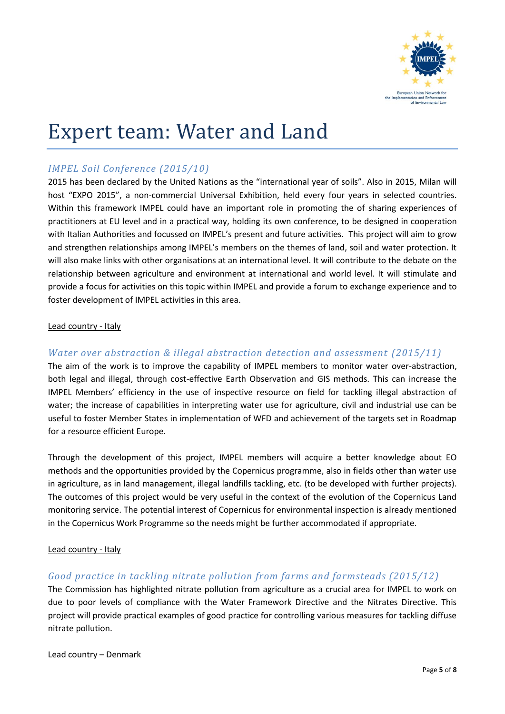

## Expert team: Water and Land

## *IMPEL Soil Conference (2015/10)*

2015 has been declared by the United Nations as the "international year of soils". Also in 2015, Milan will host "EXPO 2015", a non-commercial Universal Exhibition, held every four years in selected countries. Within this framework IMPEL could have an important role in promoting the of sharing experiences of practitioners at EU level and in a practical way, holding its own conference, to be designed in cooperation with Italian Authorities and focussed on IMPEL's present and future activities. This project will aim to grow and strengthen relationships among IMPEL's members on the themes of land, soil and water protection. It will also make links with other organisations at an international level. It will contribute to the debate on the relationship between agriculture and environment at international and world level. It will stimulate and provide a focus for activities on this topic within IMPEL and provide a forum to exchange experience and to foster development of IMPEL activities in this area.

#### Lead country - Italy

## *Water over abstraction & illegal abstraction detection and assessment (2015/11)*

The aim of the work is to improve the capability of IMPEL members to monitor water over-abstraction, both legal and illegal, through cost-effective Earth Observation and GIS methods. This can increase the IMPEL Members' efficiency in the use of inspective resource on field for tackling illegal abstraction of water; the increase of capabilities in interpreting water use for agriculture, civil and industrial use can be useful to foster Member States in implementation of WFD and achievement of the targets set in Roadmap for a resource efficient Europe.

Through the development of this project, IMPEL members will acquire a better knowledge about EO methods and the opportunities provided by the Copernicus programme, also in fields other than water use in agriculture, as in land management, illegal landfills tackling, etc. (to be developed with further projects). The outcomes of this project would be very useful in the context of the evolution of the Copernicus Land monitoring service. The potential interest of Copernicus for environmental inspection is already mentioned in the Copernicus Work Programme so the needs might be further accommodated if appropriate.

#### Lead country - Italy

## *Good practice in tackling nitrate pollution from farms and farmsteads (2015/12)*

The Commission has highlighted nitrate pollution from agriculture as a crucial area for IMPEL to work on due to poor levels of compliance with the Water Framework Directive and the Nitrates Directive. This project will provide practical examples of good practice for controlling various measures for tackling diffuse nitrate pollution.

#### Lead country – Denmark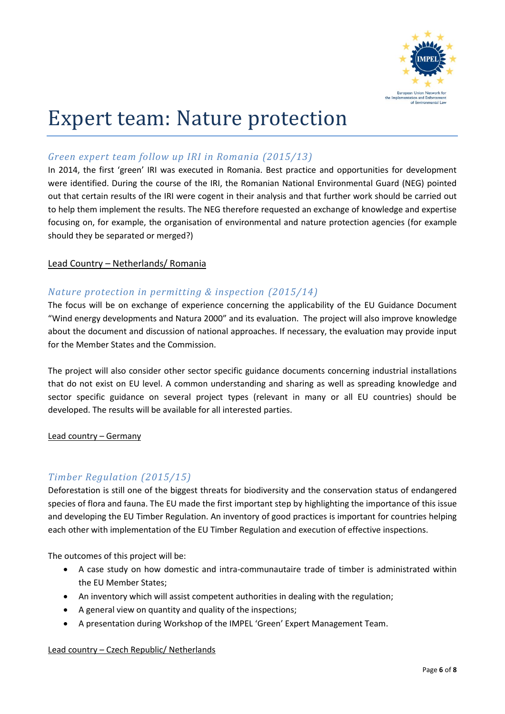

## Expert team: Nature protection

## *Green expert team follow up IRI in Romania (2015/13)*

In 2014, the first 'green' IRI was executed in Romania. Best practice and opportunities for development were identified. During the course of the IRI, the Romanian National Environmental Guard (NEG) pointed out that certain results of the IRI were cogent in their analysis and that further work should be carried out to help them implement the results. The NEG therefore requested an exchange of knowledge and expertise focusing on, for example, the organisation of environmental and nature protection agencies (for example should they be separated or merged?)

#### Lead Country – Netherlands/ Romania

## *Nature protection in permitting & inspection (2015/14)*

The focus will be on exchange of experience concerning the applicability of the EU Guidance Document "Wind energy developments and Natura 2000" and its evaluation. The project will also improve knowledge about the document and discussion of national approaches. If necessary, the evaluation may provide input for the Member States and the Commission.

The project will also consider other sector specific guidance documents concerning industrial installations that do not exist on EU level. A common understanding and sharing as well as spreading knowledge and sector specific guidance on several project types (relevant in many or all EU countries) should be developed. The results will be available for all interested parties.

#### Lead country – Germany

## *Timber Regulation (2015/15)*

Deforestation is still one of the biggest threats for biodiversity and the conservation status of endangered species of flora and fauna. The EU made the first important step by highlighting the importance of this issue and developing the EU Timber Regulation. An inventory of good practices is important for countries helping each other with implementation of the EU Timber Regulation and execution of effective inspections.

The outcomes of this project will be:

- A case study on how domestic and intra-communautaire trade of timber is administrated within the EU Member States;
- An inventory which will assist competent authorities in dealing with the regulation;
- A general view on quantity and quality of the inspections;
- A presentation during Workshop of the IMPEL 'Green' Expert Management Team.

#### Lead country – Czech Republic/ Netherlands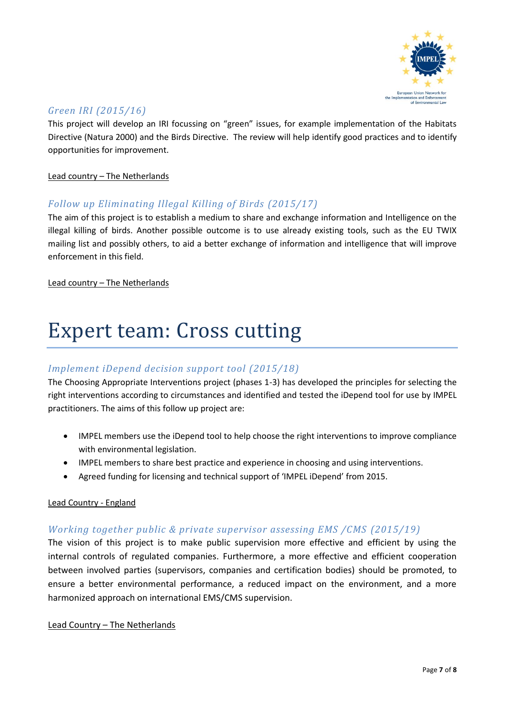

## *Green IRI (2015/16)*

This project will develop an IRI focussing on "green" issues, for example implementation of the Habitats Directive (Natura 2000) and the Birds Directive. The review will help identify good practices and to identify opportunities for improvement.

#### Lead country - The Netherlands

## *Follow up Eliminating Illegal Killing of Birds (2015/17)*

The aim of this project is to establish a medium to share and exchange information and Intelligence on the illegal killing of birds. Another possible outcome is to use already existing tools, such as the EU TWIX mailing list and possibly others, to aid a better exchange of information and intelligence that will improve enforcement in this field.

Lead country – The Netherlands

## Expert team: Cross cutting

## *Implement iDepend decision support tool (2015/18)*

The Choosing Appropriate Interventions project (phases 1-3) has developed the principles for selecting the right interventions according to circumstances and identified and tested the iDepend tool for use by IMPEL practitioners. The aims of this follow up project are:

- IMPEL members use the iDepend tool to help choose the right interventions to improve compliance with environmental legislation.
- IMPEL members to share best practice and experience in choosing and using interventions.
- Agreed funding for licensing and technical support of 'IMPEL iDepend' from 2015.

#### Lead Country - England

#### *Working together public & private supervisor assessing EMS /CMS (2015/19)*

The vision of this project is to make public supervision more effective and efficient by using the internal controls of regulated companies. Furthermore, a more effective and efficient cooperation between involved parties (supervisors, companies and certification bodies) should be promoted, to ensure a better environmental performance, a reduced impact on the environment, and a more harmonized approach on international EMS/CMS supervision.

#### Lead Country – The Netherlands